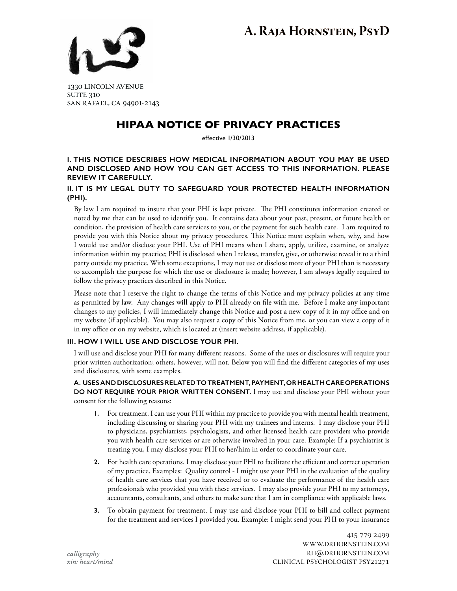# **A. Raja Hornstein, PsyD**



1330 lincoln avenue **SUITE 310** san rafael, ca 94901-2143

# **HIPAA NOTICE OF PRIVACY PRACTICES**

effective 1/30/2013

### **I. This notice describes how medical information about you may be used and disclosed and how you can get access to this information. Please review it carefully.**

# **II. It is my legal duty to safeguard your protected health information (PHI).**

By law I am required to insure that your PHI is kept private. The PHI constitutes information created or noted by me that can be used to identify you. It contains data about your past, present, or future health or condition, the provision of health care services to you, or the payment for such health care. I am required to provide you with this Notice about my privacy procedures. This Notice must explain when, why, and how I would use and/or disclose your PHI. Use of PHI means when I share, apply, utilize, examine, or analyze information within my practice; PHI is disclosed when I release, transfer, give, or otherwise reveal it to a third party outside my practice. With some exceptions, I may not use or disclose more of your PHI than is necessary to accomplish the purpose for which the use or disclosure is made; however, I am always legally required to follow the privacy practices described in this Notice.

Please note that I reserve the right to change the terms of this Notice and my privacy policies at any time as permitted by law. Any changes will apply to PHI already on file with me. Before I make any important changes to my policies, I will immediately change this Notice and post a new copy of it in my office and on my website (if applicable). You may also request a copy of this Notice from me, or you can view a copy of it in my office or on my website, which is located at (insert website address, if applicable).

# **III. How i will use and disclose your phi.**

I will use and disclose your PHI for many different reasons. Some of the uses or disclosures will require your prior written authorization; others, however, will not. Below you will find the different categories of my uses and disclosures, with some examples.

#### **A. Uses and Disclosures Related to Treatment, Payment, or Health Care Operations Do Not Require Your Prior Written Consent.** I may use and disclose your PHI without your consent for the following reasons:

- **1.** For treatment. I can use your PHI within my practice to provide you with mental health treatment, including discussing or sharing your PHI with my trainees and interns. I may disclose your PHI to physicians, psychiatrists, psychologists, and other licensed health care providers who provide you with health care services or are otherwise involved in your care. Example: If a psychiatrist is treating you, I may disclose your PHI to her/him in order to coordinate your care.
- **2.** For health care operations. I may disclose your PHI to facilitate the efficient and correct operation of my practice. Examples: Quality control - I might use your PHI in the evaluation of the quality of health care services that you have received or to evaluate the performance of the health care professionals who provided you with these services. I may also provide your PHI to my attorneys, accountants, consultants, and others to make sure that I am in compliance with applicable laws.
- **3.** To obtain payment for treatment. I may use and disclose your PHI to bill and collect payment for the treatment and services I provided you. Example: I might send your PHI to your insurance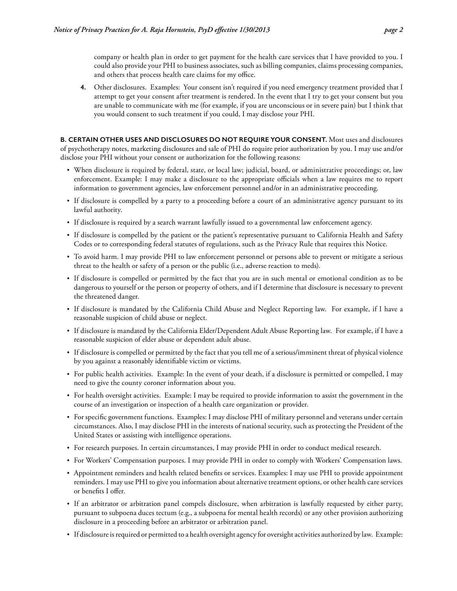company or health plan in order to get payment for the health care services that I have provided to you. I could also provide your PHI to business associates, such as billing companies, claims processing companies, and others that process health care claims for my office.

**4.** Other disclosures. Examples: Your consent isn't required if you need emergency treatment provided that I attempt to get your consent after treatment is rendered. In the event that I try to get your consent but you are unable to communicate with me (for example, if you are unconscious or in severe pain) but I think that you would consent to such treatment if you could, I may disclose your PHI.

**B. Certain Other Uses and Disclosures Do Not Require Your Consent.** Most uses and disclosures of psychotherapy notes, marketing disclosures and sale of PHI do require prior authorization by you. I may use and/or disclose your PHI without your consent or authorization for the following reasons:

- **•**  When disclosure is required by federal, state, or local law; judicial, board, or administrative proceedings; or, law enforcement. Example: I may make a disclosure to the appropriate officials when a law requires me to report information to government agencies, law enforcement personnel and/or in an administrative proceeding.
- If disclosure is compelled by a party to a proceeding before a court of an administrative agency pursuant to its lawful authority.
- **•**  If disclosure is required by a search warrant lawfully issued to a governmental law enforcement agency.
- **•**  If disclosure is compelled by the patient or the patient's representative pursuant to California Health and Safety Codes or to corresponding federal statutes of regulations, such as the Privacy Rule that requires this Notice.
- **•**  To avoid harm. I may provide PHI to law enforcement personnel or persons able to prevent or mitigate a serious threat to the health or safety of a person or the public (i.e., adverse reaction to meds).
- **•**  If disclosure is compelled or permitted by the fact that you are in such mental or emotional condition as to be dangerous to yourself or the person or property of others, and if I determine that disclosure is necessary to prevent the threatened danger.
- **•**  If disclosure is mandated by the California Child Abuse and Neglect Reporting law. For example, if I have a reasonable suspicion of child abuse or neglect.
- **•**  If disclosure is mandated by the California Elder/Dependent Adult Abuse Reporting law. For example, if I have a reasonable suspicion of elder abuse or dependent adult abuse.
- **•**  If disclosure is compelled or permitted by the fact that you tell me of a serious/imminent threat of physical violence by you against a reasonably identifiable victim or victims.
- **•**  For public health activities. Example: In the event of your death, if a disclosure is permitted or compelled, I may need to give the county coroner information about you.
- **•**  For health oversight activities. Example: I may be required to provide information to assist the government in the course of an investigation or inspection of a health care organization or provider.
- **•**  For specific government functions. Examples: I may disclose PHI of military personnel and veterans under certain circumstances. Also, I may disclose PHI in the interests of national security, such as protecting the President of the United States or assisting with intelligence operations.
- **•**  For research purposes. In certain circumstances, I may provide PHI in order to conduct medical research.
- **•**  For Workers' Compensation purposes. I may provide PHI in order to comply with Workers' Compensation laws.
- **•**  Appointment reminders and health related benefits or services. Examples: I may use PHI to provide appointment reminders. I may use PHI to give you information about alternative treatment options, or other health care services or benefits I offer.
- **•**  If an arbitrator or arbitration panel compels disclosure, when arbitration is lawfully requested by either party, pursuant to subpoena duces tectum (e.g., a subpoena for mental health records) or any other provision authorizing disclosure in a proceeding before an arbitrator or arbitration panel.
- **•**  If disclosure is required or permitted to a health oversight agency for oversight activities authorized by law. Example: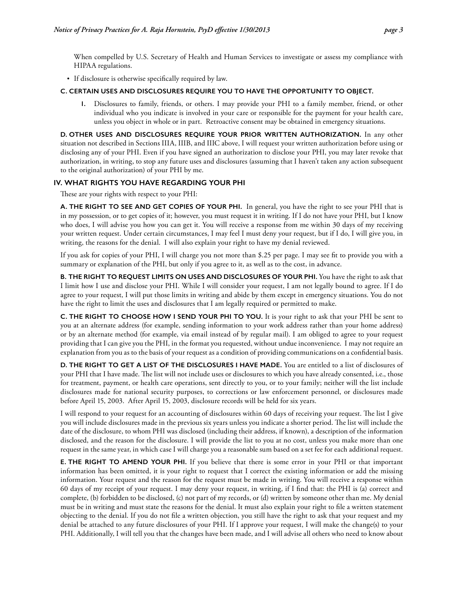When compelled by U.S. Secretary of Health and Human Services to investigate or assess my compliance with HIPAA regulations.

• If disclosure is otherwise specifically required by law.

#### **C. Certain Uses and Disclosures Require You to Have the Opportunity to Object.**

**1.** Disclosures to family, friends, or others. I may provide your PHI to a family member, friend, or other individual who you indicate is involved in your care or responsible for the payment for your health care, unless you object in whole or in part. Retroactive consent may be obtained in emergency situations.

**D. Other Uses and Disclosures Require Your Prior Written Authorization.** In any other situation not described in Sections IIIA, IIIB, and IIIC above, I will request your written authorization before using or disclosing any of your PHI. Even if you have signed an authorization to disclose your PHI, you may later revoke that authorization, in writing, to stop any future uses and disclosures (assuming that I haven't taken any action subsequent to the original authorization) of your PHI by me.

#### **IV. What rights you have regarding your phi**

These are your rights with respect to your PHI:

**A. The Right to See and Get Copies of Your PHI.** In general, you have the right to see your PHI that is in my possession, or to get copies of it; however, you must request it in writing. If I do not have your PHI, but I know who does, I will advise you how you can get it. You will receive a response from me within 30 days of my receiving your written request. Under certain circumstances, I may feel I must deny your request, but if I do, I will give you, in writing, the reasons for the denial. I will also explain your right to have my denial reviewed.

If you ask for copies of your PHI, I will charge you not more than \$.25 per page. I may see fit to provide you with a summary or explanation of the PHI, but only if you agree to it, as well as to the cost, in advance.

**B. The Right to Request Limits on Uses and Disclosures of Your PHI.** You have the right to ask that I limit how I use and disclose your PHI. While I will consider your request, I am not legally bound to agree. If I do agree to your request, I will put those limits in writing and abide by them except in emergency situations. You do not have the right to limit the uses and disclosures that I am legally required or permitted to make.

**C. The Right to Choose How I Send Your PHI to You.** It is your right to ask that your PHI be sent to you at an alternate address (for example, sending information to your work address rather than your home address) or by an alternate method (for example, via email instead of by regular mail). I am obliged to agree to your request providing that I can give you the PHI, in the format you requested, without undue inconvenience. I may not require an explanation from you as to the basis of your request as a condition of providing communications on a confidential basis.

**D. The Right to Get a List of the Disclosures I Have Made.** You are entitled to a list of disclosures of your PHI that I have made. The list will not include uses or disclosures to which you have already consented, i.e., those for treatment, payment, or health care operations, sent directly to you, or to your family; neither will the list include disclosures made for national security purposes, to corrections or law enforcement personnel, or disclosures made before April 15, 2003. After April 15, 2003, disclosure records will be held for six years.

I will respond to your request for an accounting of disclosures within 60 days of receiving your request. The list I give you will include disclosures made in the previous six years unless you indicate a shorter period. The list will include the date of the disclosure, to whom PHI was disclosed (including their address, if known), a description of the information disclosed, and the reason for the disclosure. I will provide the list to you at no cost, unless you make more than one request in the same year, in which case I will charge you a reasonable sum based on a set fee for each additional request.

**E. THE RIGHT TO AMEND YOUR PHI.** If you believe that there is some error in your PHI or that important information has been omitted, it is your right to request that I correct the existing information or add the missing information. Your request and the reason for the request must be made in writing. You will receive a response within 60 days of my receipt of your request. I may deny your request, in writing, if I find that: the PHI is (a) correct and complete, (b) forbidden to be disclosed, (c) not part of my records, or (d) written by someone other than me. My denial must be in writing and must state the reasons for the denial. It must also explain your right to file a written statement objecting to the denial. If you do not file a written objection, you still have the right to ask that your request and my denial be attached to any future disclosures of your PHI. If I approve your request, I will make the change(s) to your PHI. Additionally, I will tell you that the changes have been made, and I will advise all others who need to know about